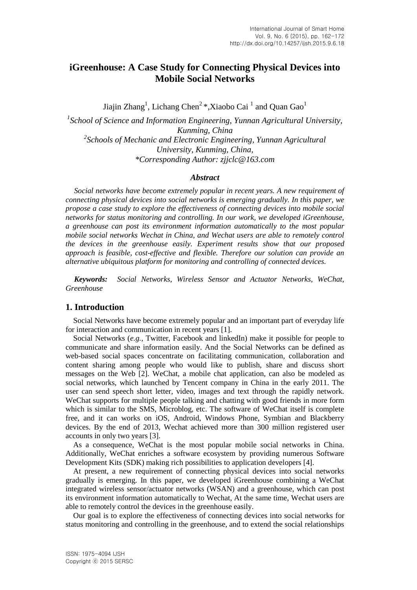# **iGreenhouse: A Case Study for Connecting Physical Devices into Mobile Social Networks**

Jiajin Zhang<sup>1</sup>, Lichang Chen<sup>2</sup> \*,Xiaobo Cai<sup>1</sup> and Quan Gao<sup>1</sup>

<sup>1</sup> School of Science and Information Engineering, Yunnan Agricultural University, *Kunming, China 2 Schools of Mechanic and Electronic Engineering, Yunnan Agricultural University, Kunming, China, \*Corresponding Author: zjjclc@163.com*

#### *Abstract*

*Social networks have become extremely popular in recent years. A new requirement of connecting physical devices into social networks is emerging gradually. In this paper, we propose a case study to explore the effectiveness of connecting devices into mobile social networks for status monitoring and controlling. In our work, we developed iGreenhouse, a greenhouse can post its environment information automatically to the most popular mobile social networks Wechat in China, and Wechat users are able to remotely control the devices in the greenhouse easily. Experiment results show that our proposed approach is feasible, cost-effective and flexible. Therefore our solution can provide an alternative ubiquitous platform for monitoring and controlling of connected devices.*

*Keywords: Social Networks, Wireless Sensor and Actuator Networks, WeChat, Greenhouse*

#### **1. Introduction**

Social Networks have become extremely popular and an important part of everyday life for interaction and communication in recent years [1].

Social Networks (*e.g.*, Twitter, Facebook and linkedIn) make it possible for people to communicate and share information easily. And the Social Networks can be defined as web-based social spaces concentrate on facilitating communication, collaboration and content sharing among people who would like to publish, share and discuss short messages on the Web [2]. WeChat, a mobile chat application, can also be modeled as social networks, which launched by Tencent company in China in the early 2011. The user can send speech short letter, video, images and text through the rapidly network. WeChat supports for multiple people talking and chatting with good friends in more form which is similar to the SMS, Microblog, etc. The software of WeChat itself is complete free, and it can works on iOS, Android, Windows Phone, Symbian and Blackberry devices. By the end of 2013, Wechat achieved more than 300 million registered user accounts in only two years [3].

As a consequence, WeChat is the most popular mobile social networks in China. Additionally, WeChat enriches a software ecosystem by providing numerous Software Development Kits (SDK) making rich possibilities to application developers [4].

At present, a new requirement of connecting physical devices into social networks gradually is emerging. In this paper, we developed iGreenhouse combining a WeChat integrated wireless sensor/actuator networks (WSAN) and a greenhouse, which can post its environment information automatically to Wechat, At the same time, Wechat users are able to remotely control the devices in the greenhouse easily.

Our goal is to explore the effectiveness of connecting devices into social networks for status monitoring and controlling in the greenhouse, and to extend the social relationships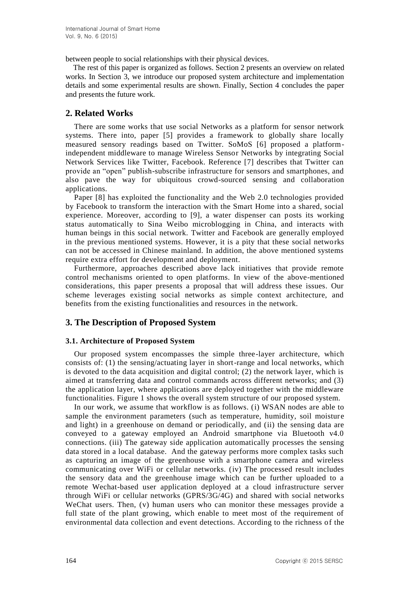between people to social relationships with their physical devices.

The rest of this paper is organized as follows. Section 2 presents an overview on related works. In Section 3, we introduce our proposed system architecture and implementation details and some experimental results are shown. Finally, Section 4 concludes the paper and presents the future work.

## **2. Related Works**

There are some works that use social Networks as a platform for sensor network systems. There into, paper [5] provides a framework to globally share locally measured sensory readings based on Twitter. SoMoS [6] proposed a platformindependent middleware to manage Wireless Sensor Networks by integrating Social Network Services like Twitter, Facebook. Reference [7] describes that Twitter can provide an "open" publish-subscribe infrastructure for sensors and smartphones, and also pave the way for ubiquitous crowd-sourced sensing and collaboration applications.

Paper [8] has exploited the functionality and the Web 2.0 technologies provided by Facebook to transform the interaction with the Smart Home into a shared, social experience. Moreover, according to [9], a water dispenser can posts its working status automatically to Sina Weibo microblogging in China, and interacts with human beings in this social network. Twitter and Facebook are generally employed in the previous mentioned systems. However, it is a pity that these social networks can not be accessed in Chinese mainland. In addition, the above mentioned systems require extra effort for development and deployment.

Furthermore, approaches described above lack initiatives that provide remote control mechanisms oriented to open platforms. In view of the above-mentioned considerations, this paper presents a proposal that will address these issues. Our scheme leverages existing social networks as simple context architecture, and benefits from the existing functionalities and resources in the network.

## **3. The Description of Proposed System**

## **3.1. Architecture of Proposed System**

Our proposed system encompasses the simple three-layer architecture, which consists of: (1) the sensing/actuating layer in short-range and local networks, which is devoted to the data acquisition and digital control; (2) the network layer, which is aimed at transferring data and control commands across different networks; and (3) the application layer, where applications are deployed together with the middleware functionalities. Figure 1 shows the overall system structure of our proposed system.

In our work, we assume that workflow is as follows. (i) WSAN nodes are able to sample the environment parameters (such as temperature, humidity, soil moisture and light) in a greenhouse on demand or periodically, and (ii) the sensing data are conveyed to a gateway employed an Android smartphone via Bluetooth v4.0 connections. (iii) The gateway side application automatically processes the sensing data stored in a local database. And the gateway performs more complex tasks such as capturing an image of the greenhouse with a smartphone camera and wireless communicating over WiFi or cellular networks. (iv) The processed result includes the sensory data and the greenhouse image which can be further uploaded to a remote Wechat-based user application deployed at a cloud infrastructure server through WiFi or cellular networks (GPRS/3G/4G) and shared with social networks WeChat users. Then, (v) human users who can monitor these messages provide a full state of the plant growing, which enable to meet most of the requirement of environmental data collection and event detections. According to the richness of the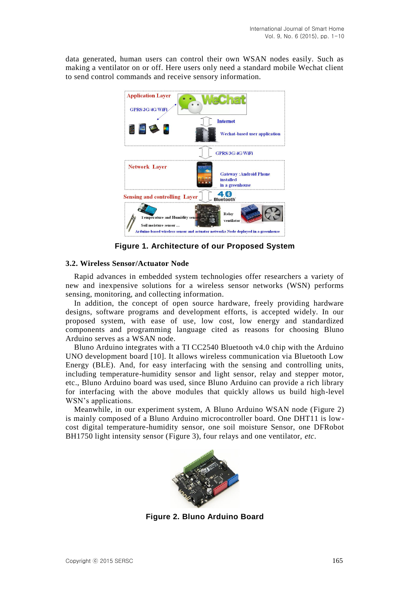data generated, human users can control their own WSAN nodes easily. Such as making a ventilator on or off. Here users only need a standard mobile Wechat client to send control commands and receive sensory information.



**Figure 1. Architecture of our Proposed System**

## **3.2. Wireless Sensor/Actuator Node**

Rapid advances in embedded system technologies offer researchers a variety of new and inexpensive solutions for a wireless sensor networks (WSN) performs sensing, monitoring, and collecting information.

In addition, the concept of open source hardware, freely providing hardware designs, software programs and development efforts, is accepted widely. In our proposed system, with ease of use, low cost, low energy and standardized components and programming language cited as reasons for choosing Bluno Arduino serves as a WSAN node.

Bluno Arduino integrates with a TI CC2540 Bluetooth v4.0 chip with the Arduino UNO development board [10]. It allows wireless communication via Bluetooth Low Energy (BLE). And, for easy interfacing with the sensing and controlling units, including temperature-humidity sensor and light sensor, relay and stepper motor, etc., Bluno Arduino board was used, since Bluno Arduino can provide a rich library for interfacing with the above modules that quickly allows us build high-level WSN's applications.

Meanwhile, in our experiment system, A Bluno Arduino WSAN node (Figure 2) is mainly composed of a Bluno Arduino microcontroller board. One DHT11 is lowcost digital temperature-humidity sensor, one soil moisture Sensor, one DFRobot BH1750 light intensity sensor (Figure 3), four relays and one ventilator, *etc*.



**Figure 2. Bluno Arduino Board**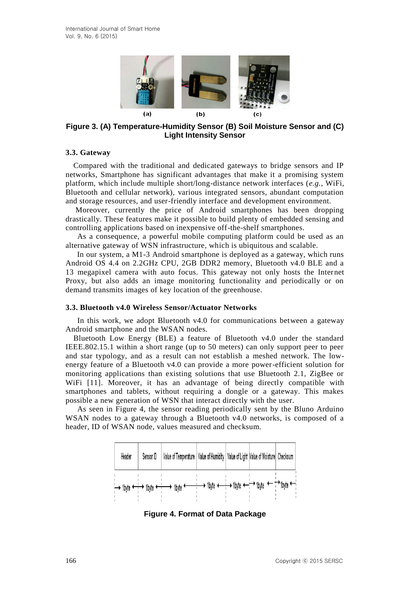

**Figure 3. (A) Temperature-Humidity Sensor (B) Soil Moisture Sensor and (C) Light Intensity Sensor**

#### **3.3. Gateway**

Compared with the traditional and dedicated gateways to bridge sensors and IP networks, Smartphone has significant advantages that make it a promising system platform, which include multiple short/long-distance network interfaces (*e.g.*, WiFi, Bluetooth and cellular network), various integrated sensors, abundant computation and storage resources, and user-friendly interface and development environment.

Moreover, currently the price of Android smartphones has been dropping drastically. These features make it possible to build plenty of embedded sensing and controlling applications based on inexpensive off-the-shelf smartphones.

As a consequence, a powerful mobile computing platform could be used as an alternative gateway of WSN infrastructure, which is ubiquitous and scalable.

In our system, a M1-3 Android smartphone is deployed as a gateway, which runs Android OS 4.4 on 2.2GHz CPU, 2GB DDR2 memory, Bluetooth v4.0 BLE and a 13 megapixel camera with auto focus. This gateway not only hosts the Internet Proxy, but also adds an image monitoring functionality and periodically or on demand transmits images of key location of the greenhouse.

#### **3.3. Bluetooth v4.0 Wireless Sensor/Actuator Networks**

In this work, we adopt Bluetooth v4.0 for communications between a gateway Android smartphone and the WSAN nodes.

Bluetooth Low Energy (BLE) a feature of Bluetooth v4.0 under the standard IEEE.802.15.1 within a short range (up to 50 meters) can only support peer to peer and star typology, and as a result can not establish a meshed network. The lowenergy feature of a Bluetooth v4.0 can provide a more power-efficient solution for monitoring applications than existing solutions that use Bluetooth 2.1, ZigBee or WiFi [11]. Moreover, it has an advantage of being directly compatible with smartphones and tablets, without requiring a dongle or a gateway. This makes possible a new generation of WSN that interact directly with the user.

As seen in Figure 4, the sensor reading periodically sent by the Bluno Arduino WSAN nodes to a gateway through a Bluetooth v4.0 networks, is composed of a header, ID of WSAN node, values measured and checksum.



**Figure 4. Format of Data Package**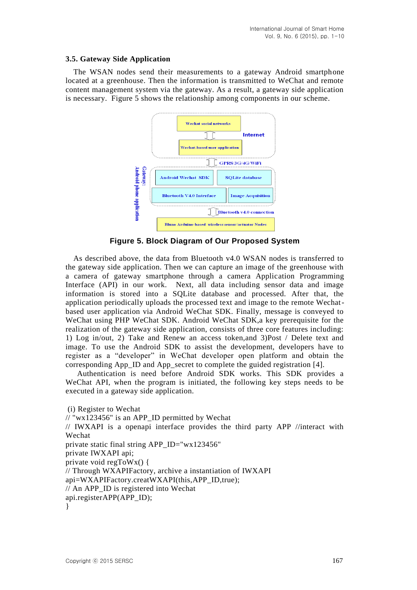#### **3.5. Gateway Side Application**

The WSAN nodes send their measurements to a gateway Android smartphone located at a greenhouse. Then the information is transmitted to WeChat and remote content management system via the gateway. As a result, a gateway side application is necessary. Figure 5 shows the relationship among components in our scheme.



**Figure 5. Block Diagram of Our Proposed System**

As described above, the data from Bluetooth v4.0 WSAN nodes is transferred to the gateway side application. Then we can capture an image of the greenhouse with a camera of gateway smartphone through a camera Application Programming Interface (API) in our work. Next, all data including sensor data and image information is stored into a SQLite database and processed. After that, the application periodically uploads the processed text and image to the remote Wechatbased user application via Android WeChat SDK. Finally, message is conveyed to WeChat using PHP WeChat SDK. Android WeChat SDK,a key prerequisite for the realization of the gateway side application, consists of three core features including: 1) Log in/out, 2) Take and Renew an access token,and 3)Post / Delete text and image. To use the Android SDK to assist the development, developers have to register as a "developer" in WeChat developer open platform and obtain the corresponding App\_ID and App\_secret to complete the guided registration [4].

Authentication is need before Android SDK works. This SDK provides a WeChat API, when the program is initiated, the following key steps needs to be executed in a gateway side application.

(i) Register to Wechat // "wx123456" is an APP\_ID permitted by Wechat // IWXAPI is a openapi interface provides the third party APP //interact with Wechat private static final string APP\_ID="wx123456" private IWXAPI api; private void regToWx() { // Through WXAPIFactory, archive a instantiation of IWXAPI api=WXAPIFactory.creatWXAPI(this,APP\_ID,true); // An APP\_ID is registered into Wechat api.registerAPP(APP\_ID); }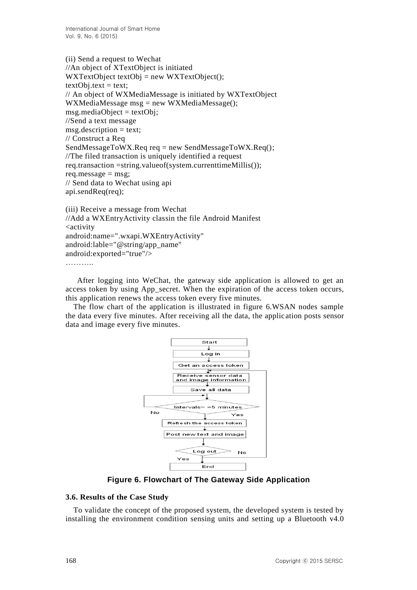(ii) Send a request to Wechat //An object of XTextObject is initiated  $WXTextObject textObj = new WXTextObject();$  $text{let} = text;$ // An object of WXMediaMessage is initiated by WXTextObject WXMediaMessage msg = new WXMediaMessage();  $msg$ .mediaObject = textObj; //Send a text message  $msg.description = text;$ // Construct a Req SendMessageToWX.Req req = new SendMessageToWX.Req(); //The filed transaction is uniquely identified a request req.transaction =string.valueof(system.currenttimeMillis()); req.message  $=$  msg; // Send data to Wechat using api api.sendReq(req);

```
(iii) Receive a message from Wechat
//Add a WXEntryActivity classin the file Android Manifest
<activity
android:name=".wxapi.WXEntryActivity"
android:lable="@string/app_name"
android:exported="true"/>
```
…………

After logging into WeChat, the gateway side application is allowed to get an access token by using App secret. When the expiration of the access token occurs, this application renews the access token every five minutes.

The flow chart of the application is illustrated in figure 6.WSAN nodes sample the data every five minutes. After receiving all the data, the application posts sensor data and image every five minutes.



**Figure 6. Flowchart of The Gateway Side Application**

#### **3.6. Results of the Case Study**

To validate the concept of the proposed system, the developed system is tested by installing the environment condition sensing units and setting up a Bluetooth v4.0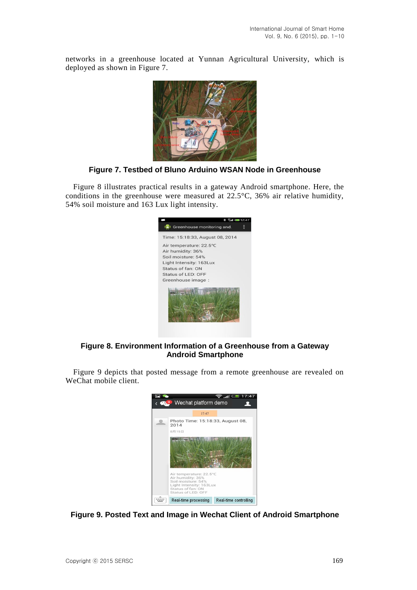networks in a greenhouse located at Yunnan Agricultural University, which is deployed as shown in Figure 7.



**Figure 7. Testbed of Bluno Arduino WSAN Node in Greenhouse**

Figure 8 illustrates practical results in a gateway Android smartphone. Here, the conditions in the greenhouse were measured at 22.5°C, 36% air relative humidity, 54% soil moisture and 163 Lux light intensity.



## **Figure 8. Environment Information of a Greenhouse from a Gateway Android Smartphone**

Figure 9 depicts that posted message from a remote greenhouse are revealed on WeChat mobile client.



**Figure 9. Posted Text and Image in Wechat Client of Android Smartphone**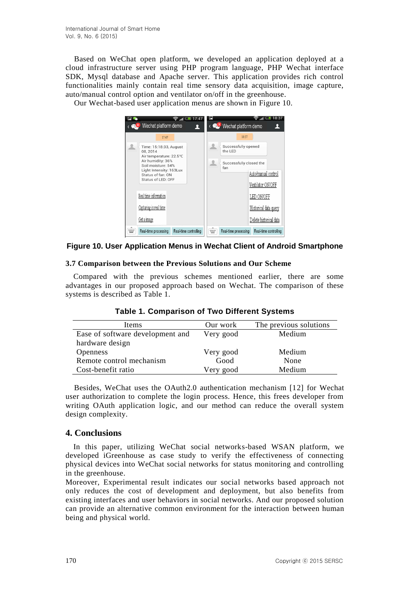Based on WeChat open platform, we developed an application deployed at a cloud infrastructure server using PHP program language, PHP Wechat interface SDK, Mysql database and Apache server. This application provides rich control functionalities mainly contain real time sensory data acquisition, image capture, auto/manual control option and ventilator on/off in the greenhouse.

Our Wechat-based user application menus are shown in Figure 10.



#### **Figure 10. User Application Menus in Wechat Client of Android Smartphone**

#### **3.7 Comparison between the Previous Solutions and Our Scheme**

Compared with the previous schemes mentioned earlier, there are some advantages in our proposed approach based on Wechat. The comparison of these systems is described as Table 1.

| Items                            | Our work  | The previous solutions |
|----------------------------------|-----------|------------------------|
| Ease of software development and | Very good | Medium                 |
| hardware design                  |           |                        |
| <b>Openness</b>                  | Very good | Medium                 |
| Remote control mechanism         | Good      | None                   |
| Cost-benefit ratio               | Very good | Medium                 |

**Table 1. Comparison of Two Different Systems**

Besides, WeChat uses the OAuth2.0 authentication mechanism [12] for Wechat user authorization to complete the login process. Hence, this frees developer from writing OAuth application logic, and our method can reduce the overall system design complexity.

## **4. Conclusions**

In this paper, utilizing WeChat social networks-based WSAN platform, we developed iGreenhouse as case study to verify the effectiveness of connecting physical devices into WeChat social networks for status monitoring and controlling in the greenhouse.

Moreover, Experimental result indicates our social networks based approach not only reduces the cost of development and deployment, but also benefits from existing interfaces and user behaviors in social networks. And our proposed solution can provide an alternative common environment for the interaction between human being and physical world.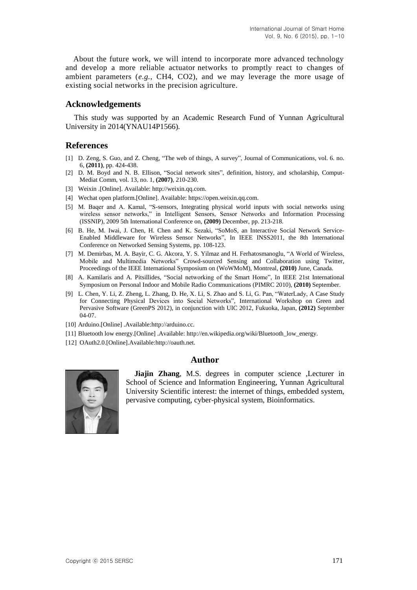About the future work, we will intend to incorporate more advanced technology and develop a more reliable actuator networks to promptly react to changes of ambient parameters (*e.g.*, CH4, CO2), and we may leverage the more usage of existing social networks in the precision agriculture.

#### **Acknowledgements**

This study was supported by an Academic Research Fund of Yunnan Agricultural University in 2014(YNAU14P1566).

#### **References**

- [1] D. Zeng, S. Guo, and Z. Cheng, "The web of things, A survey", Journal of Communications, vol. 6. no. 6, **(2011)**, pp. 424-438.
- [2] D. M. Boyd and N. B. Ellison, "Social network sites", definition, history, and scholarship, Comput-Mediat Comm, vol. 13, no. 1, **(2007)**, 210-230.
- [3] Weixin .[Online]. Available: http://weixin.qq.com.
- [4] Wechat open platform.[Online]. Available: https://open.weixin.qq.com.
- [5] M. Baqer and A. Kamal, "S-sensors, Integrating physical world inputs with social networks using wireless sensor networks," in Intelligent Sensors, Sensor Networks and Information Processing (ISSNIP), 2009 5th International Conference on, **(2009)** December, pp. 213-218.
- [6] B. He, M. Iwai, J. Chen, H. Chen and K. Sezaki, "SoMoS, an Interactive Social Network Service-Enabled Middleware for Wireless Sensor Networks", In IEEE INSS2011, the 8th International Conference on Networked Sensing Systems, pp. 108-123.
- [7] M. Demirbas, M. A. Bayir, C. G. Akcora, Y. S. Yilmaz and H. Ferhatosmanoglu, "A World of Wireless, Mobile and Multimedia Networks" Crowd-sourced Sensing and Collaboration using Twitter, Proceedings of the IEEE International Symposium on (WoWMoM), Montreal, **(2010)** June, Canada.
- [8] A. Kamilaris and A. Pitsillides, "Social networking of the Smart Home", In IEEE 21st International Symposium on Personal Indoor and Mobile Radio Communications (PIMRC 2010), **(2010)** September.
- [9] L. Chen, Y. Li, Z. Zheng, L. Zhang, D. He, X. Li, S. Zhao and S. Li, G. Pan, "WaterLady, A Case Study for Connecting Physical Devices into Social Networks", International Workshop on Green and Pervasive Software (GreenPS 2012), in conjunction with UIC 2012, Fukuoka, Japan, **(2012)** September 04-07.
- [10] Arduino.[Online] .Available:http://arduino.cc.
- [11] Bluetooth low energy.[Online] .Available: http://en.wikipedia.org/wiki/Bluetooth\_low\_energy.
- [12] OAuth2.0.[Online].Available:http://oauth.net.

#### **Author**



**Jiajin Zhang**, M.S. degrees in computer science ,Lecturer in School of Science and Information Engineering, Yunnan Agricultural University Scientific interest: the internet of things, embedded system, pervasive computing, cyber-physical system, Bioinformatics.